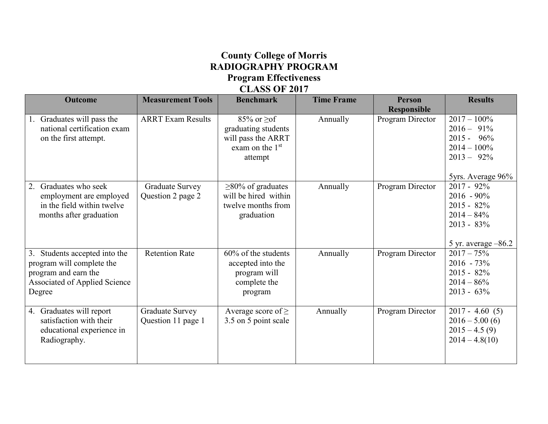## **County College of Morris RADIOGRAPHY PROGRAM Program Effectiveness CLASS OF 2017**

| <b>Outcome</b>                                                                                                                       | <b>Measurement Tools</b>                     | <b>Benchmark</b>                                                                                 | <b>Time Frame</b> | <b>Person</b><br><b>Responsible</b> | <b>Results</b>                                                                                             |
|--------------------------------------------------------------------------------------------------------------------------------------|----------------------------------------------|--------------------------------------------------------------------------------------------------|-------------------|-------------------------------------|------------------------------------------------------------------------------------------------------------|
| 1. Graduates will pass the<br>national certification exam<br>on the first attempt.                                                   | <b>ARRT Exam Results</b>                     | $85\%$ or $\geq$ of<br>graduating students<br>will pass the ARRT<br>exam on the $1st$<br>attempt | Annually          | Program Director                    | $2017 - 100\%$<br>$2016 - 91\%$<br>$2015 - 96\%$<br>$2014 - 100\%$<br>$2013 - 92\%$<br>5yrs. Average 96%   |
| 2. Graduates who seek<br>employment are employed<br>in the field within twelve<br>months after graduation                            | Graduate Survey<br>Question 2 page 2         | $\geq$ 80% of graduates<br>will be hired within<br>twelve months from<br>graduation              | Annually          | Program Director                    | $2017 - 92\%$<br>$2016 - 90\%$<br>$2015 - 82\%$<br>$2014 - 84\%$<br>$2013 - 83\%$<br>5 yr. average $-86.2$ |
| 3. Students accepted into the<br>program will complete the<br>program and earn the<br><b>Associated of Applied Science</b><br>Degree | <b>Retention Rate</b>                        | 60% of the students<br>accepted into the<br>program will<br>complete the<br>program              | Annually          | Program Director                    | $2017 - 75\%$<br>$2016 - 73\%$<br>$2015 - 82\%$<br>$2014 - 86\%$<br>$2013 - 63\%$                          |
| 4. Graduates will report<br>satisfaction with their<br>educational experience in<br>Radiography.                                     | <b>Graduate Survey</b><br>Question 11 page 1 | Average score of $\geq$<br>3.5 on 5 point scale                                                  | Annually          | Program Director                    | $2017 - 4.60(5)$<br>$2016 - 5.00(6)$<br>$2015 - 4.5(9)$<br>$2014 - 4.8(10)$                                |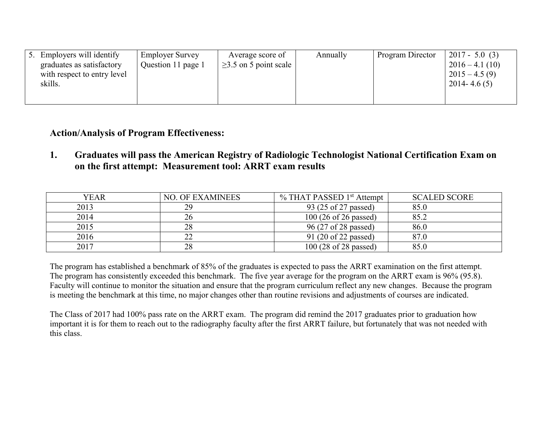| 5. Employers will identify  | <b>Employer Survey</b> | Average score of            | Annually | Program Director | $2017 - 5.0(3)$             |
|-----------------------------|------------------------|-----------------------------|----------|------------------|-----------------------------|
| graduates as satisfactory   | Question 11 page 1     | $\geq$ 3.5 on 5 point scale |          |                  | $2016 - 4.1(10)$            |
| with respect to entry level |                        |                             |          |                  | $\vert 2015 - 4.5(9) \vert$ |
| skills.                     |                        |                             |          |                  | $2014 - 4.6(5)$             |
|                             |                        |                             |          |                  |                             |
|                             |                        |                             |          |                  |                             |

## **Action/Analysis of Program Effectiveness:**

**1. Graduates will pass the American Registry of Radiologic Technologist National Certification Exam on on the first attempt: Measurement tool: ARRT exam results**

| <b>YEAR</b> | <b>NO. OF EXAMINEES</b> | % THAT PASSED 1 <sup>st</sup> Attempt   | <b>SCALED SCORE</b> |
|-------------|-------------------------|-----------------------------------------|---------------------|
| 2013        | 29                      | 93 (25 of 27 passed)                    | 85.0                |
| 2014        |                         | 100(26 of 26 passed)                    | 85.2                |
| 2015        | 28                      | 96 (27 of 28 passed)                    | 86.0                |
| 2016        |                         | 91 (20 of 22 passed)                    | 87.0                |
| 2017        |                         | $100(28 \text{ of } 28 \text{ passed})$ | 85.0                |

The program has established a benchmark of 85% of the graduates is expected to pass the ARRT examination on the first attempt. The program has consistently exceeded this benchmark. The five year average for the program on the ARRT exam is 96% (95.8). Faculty will continue to monitor the situation and ensure that the program curriculum reflect any new changes. Because the program is meeting the benchmark at this time, no major changes other than routine revisions and adjustments of courses are indicated.

The Class of 2017 had 100% pass rate on the ARRT exam. The program did remind the 2017 graduates prior to graduation how important it is for them to reach out to the radiography faculty after the first ARRT failure, but fortunately that was not needed with this class.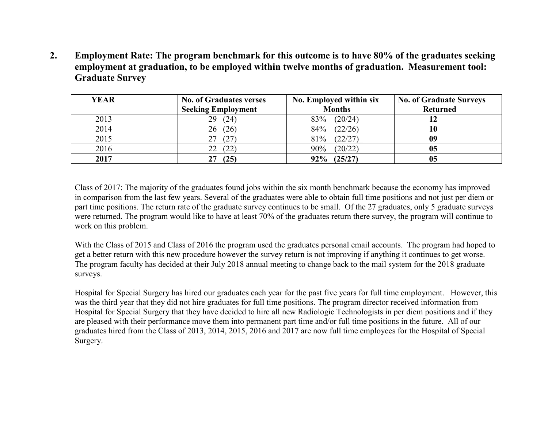**2. Employment Rate: The program benchmark for this outcome is to have 80% of the graduates seeking employment at graduation, to be employed within twelve months of graduation. Measurement tool: Graduate Survey**

| <b>YEAR</b> | <b>No. of Graduates verses</b> | No. Employed within six | <b>No. of Graduate Surveys</b> |
|-------------|--------------------------------|-------------------------|--------------------------------|
|             | <b>Seeking Employment</b>      | <b>Months</b>           | <b>Returned</b>                |
| 2013        | 29<br>(24)                     | (20/24)<br>83%          |                                |
| 2014        | (26)<br>26                     | (22/26)<br>84%          |                                |
| 2015        | 27                             | (22/27)<br>81%          | 09                             |
| 2016        |                                | (20/22)<br>90%          | 05                             |
| 2017        | (25)<br>27                     | (25/27)<br>92%          |                                |

Class of 2017: The majority of the graduates found jobs within the six month benchmark because the economy has improved in comparison from the last few years. Several of the graduates were able to obtain full time positions and not just per diem or part time positions. The return rate of the graduate survey continues to be small. Of the 27 graduates, only 5 graduate surveys were returned. The program would like to have at least 70% of the graduates return there survey, the program will continue to work on this problem.

With the Class of 2015 and Class of 2016 the program used the graduates personal email accounts. The program had hoped to get a better return with this new procedure however the survey return is not improving if anything it continues to get worse. The program faculty has decided at their July 2018 annual meeting to change back to the mail system for the 2018 graduate surveys.

Hospital for Special Surgery has hired our graduates each year for the past five years for full time employment. However, this was the third year that they did not hire graduates for full time positions. The program director received information from Hospital for Special Surgery that they have decided to hire all new Radiologic Technologists in per diem positions and if they are pleased with their performance move them into permanent part time and/or full time positions in the future. All of our graduates hired from the Class of 2013, 2014, 2015, 2016 and 2017 are now full time employees for the Hospital of Special Surgery.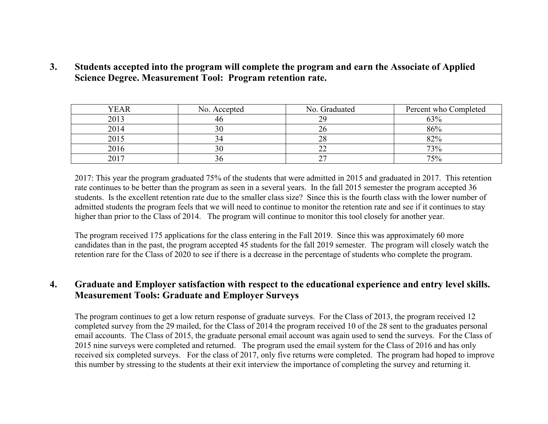**3. Students accepted into the program will complete the program and earn the Associate of Applied Science Degree. Measurement Tool: Program retention rate.**

| YEAR | No. Accepted | No. Graduated | Percent who Completed |
|------|--------------|---------------|-----------------------|
| 2013 |              | 20            | 63%                   |
| 2014 |              |               | 86%                   |
| 2015 |              |               | 82%                   |
| 2016 |              |               | 73%                   |
| 2017 |              |               | 75%                   |

2017: This year the program graduated 75% of the students that were admitted in 2015 and graduated in 2017. This retention rate continues to be better than the program as seen in a several years. In the fall 2015 semester the program accepted 36 students. Is the excellent retention rate due to the smaller class size? Since this is the fourth class with the lower number of admitted students the program feels that we will need to continue to monitor the retention rate and see if it continues to stay higher than prior to the Class of 2014. The program will continue to monitor this tool closely for another year.

The program received 175 applications for the class entering in the Fall 2019. Since this was approximately 60 more candidates than in the past, the program accepted 45 students for the fall 2019 semester. The program will closely watch the retention rare for the Class of 2020 to see if there is a decrease in the percentage of students who complete the program.

## **4. Graduate and Employer satisfaction with respect to the educational experience and entry level skills. Measurement Tools: Graduate and Employer Surveys**

The program continues to get a low return response of graduate surveys. For the Class of 2013, the program received 12 completed survey from the 29 mailed, for the Class of 2014 the program received 10 of the 28 sent to the graduates personal email accounts. The Class of 2015, the graduate personal email account was again used to send the surveys. For the Class of 2015 nine surveys were completed and returned. The program used the email system for the Class of 2016 and has only received six completed surveys. For the class of 2017, only five returns were completed. The program had hoped to improve this number by stressing to the students at their exit interview the importance of completing the survey and returning it.